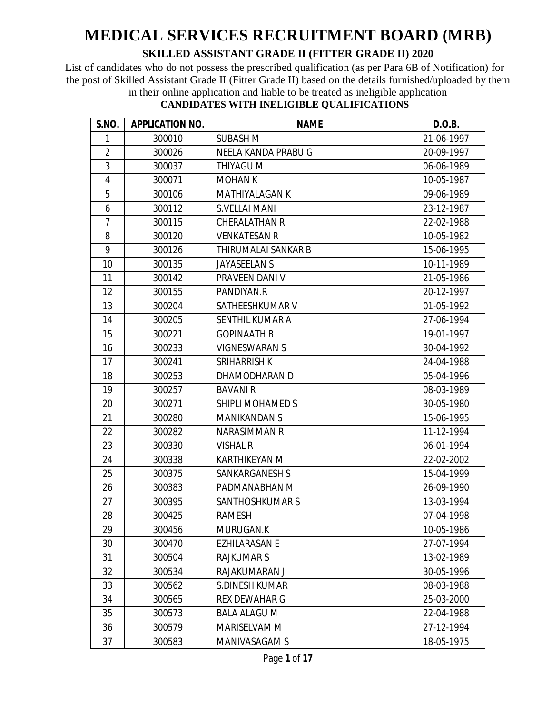List of candidates who do not possess the prescribed qualification (as per Para 6B of Notification) for the post of Skilled Assistant Grade II (Fitter Grade II) based on the details furnished/uploaded by them in their online application and liable to be treated as ineligible application

| S.NO.          | <b>APPLICATION NO.</b> | <b>NAME</b>            | D.O.B.     |
|----------------|------------------------|------------------------|------------|
| $\mathbf{1}$   | 300010                 | <b>SUBASH M</b>        | 21-06-1997 |
| $\overline{2}$ | 300026                 | NEELA KANDA PRABU G    | 20-09-1997 |
| 3              | 300037                 | THIYAGU M              | 06-06-1989 |
| 4              | 300071                 | <b>MOHAN K</b>         | 10-05-1987 |
| 5              | 300106                 | <b>MATHIYALAGAN K</b>  | 09-06-1989 |
| 6              | 300112                 | <b>S.VELLAI MANI</b>   | 23-12-1987 |
| 7              | 300115                 | <b>CHERALATHAN R</b>   | 22-02-1988 |
| 8              | 300120                 | <b>VENKATESAN R</b>    | 10-05-1982 |
| 9              | 300126                 | THIRUMALAI SANKAR B    | 15-06-1995 |
| 10             | 300135                 | <b>JAYASEELAN S</b>    | 10-11-1989 |
| 11             | 300142                 | PRAVEEN DANI V         | 21-05-1986 |
| 12             | 300155                 | PANDIYAN.R             | 20-12-1997 |
| 13             | 300204                 | SATHEESHKUMAR V        | 01-05-1992 |
| 14             | 300205                 | <b>SENTHIL KUMAR A</b> | 27-06-1994 |
| 15             | 300221                 | <b>GOPINAATH B</b>     | 19-01-1997 |
| 16             | 300233                 | <b>VIGNESWARAN S</b>   | 30-04-1992 |
| 17             | 300241                 | SRIHARRISH K           | 24-04-1988 |
| 18             | 300253                 | DHAMODHARAN D          | 05-04-1996 |
| 19             | 300257                 | <b>BAVANI R</b>        | 08-03-1989 |
| 20             | 300271                 | SHIPLI MOHAMED S       | 30-05-1980 |
| 21             | 300280                 | <b>MANIKANDAN S</b>    | 15-06-1995 |
| 22             | 300282                 | <b>NARASIMMAN R</b>    | 11-12-1994 |
| 23             | 300330                 | <b>VISHAL R</b>        | 06-01-1994 |
| 24             | 300338                 | <b>KARTHIKEYAN M</b>   | 22-02-2002 |
| 25             | 300375                 | <b>SANKARGANESH S</b>  | 15-04-1999 |
| 26             | 300383                 | PADMANABHAN M          | 26-09-1990 |
| 27             | 300395                 | <b>SANTHOSHKUMAR S</b> | 13-03-1994 |
| 28             | 300425                 | <b>RAMESH</b>          | 07-04-1998 |
| 29             | 300456                 | MURUGAN.K              | 10-05-1986 |
| 30             | 300470                 | <b>EZHILARASAN E</b>   | 27-07-1994 |
| 31             | 300504                 | <b>RAJKUMARS</b>       | 13-02-1989 |
| 32             | 300534                 | RAJAKUMARAN J          | 30-05-1996 |
| 33             | 300562                 | <b>S.DINESH KUMAR</b>  | 08-03-1988 |
| 34             | 300565                 | <b>REX DEWAHAR G</b>   | 25-03-2000 |
| 35             | 300573                 | <b>BALA ALAGU M</b>    | 22-04-1988 |
| 36             | 300579                 | MARISELVAM M           | 27-12-1994 |
| 37             | 300583                 | MANIVASAGAM S          | 18-05-1975 |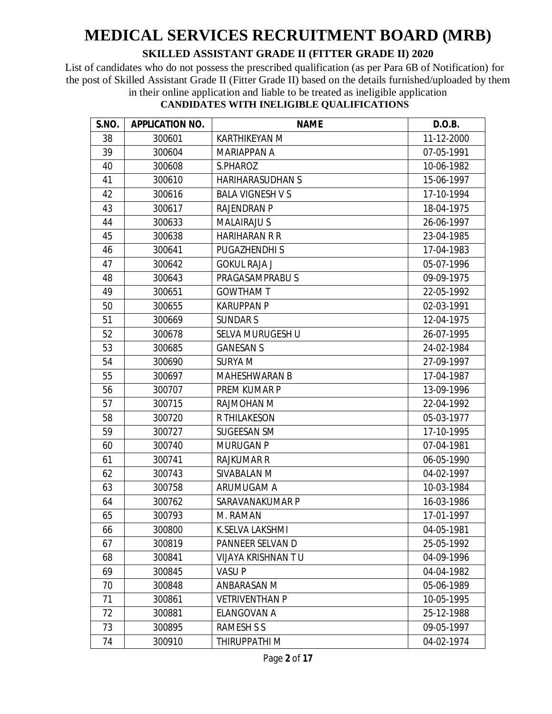List of candidates who do not possess the prescribed qualification (as per Para 6B of Notification) for the post of Skilled Assistant Grade II (Fitter Grade II) based on the details furnished/uploaded by them in their online application and liable to be treated as ineligible application

| S.NO. | <b>APPLICATION NO.</b> | <b>NAME</b>             | D.O.B.     |
|-------|------------------------|-------------------------|------------|
| 38    | 300601                 | <b>KARTHIKEYAN M</b>    | 11-12-2000 |
| 39    | 300604                 | <b>MARIAPPAN A</b>      | 07-05-1991 |
| 40    | 300608                 | S.PHAROZ                | 10-06-1982 |
| 41    | 300610                 | <b>HARIHARASUDHAN S</b> | 15-06-1997 |
| 42    | 300616                 | <b>BALA VIGNESH V S</b> | 17-10-1994 |
| 43    | 300617                 | <b>RAJENDRAN P</b>      | 18-04-1975 |
| 44    | 300633                 | <b>MALAIRAJU S</b>      | 26-06-1997 |
| 45    | 300638                 | <b>HARIHARAN R R</b>    | 23-04-1985 |
| 46    | 300641                 | <b>PUGAZHENDHIS</b>     | 17-04-1983 |
| 47    | 300642                 | <b>GOKUL RAJA J</b>     | 05-07-1996 |
| 48    | 300643                 | PRAGASAMPRABUS          | 09-09-1975 |
| 49    | 300651                 | <b>GOWTHAM T</b>        | 22-05-1992 |
| 50    | 300655                 | <b>KARUPPAN P</b>       | 02-03-1991 |
| 51    | 300669                 | <b>SUNDARS</b>          | 12-04-1975 |
| 52    | 300678                 | SELVA MURUGESH U        | 26-07-1995 |
| 53    | 300685                 | <b>GANESAN S</b>        | 24-02-1984 |
| 54    | 300690                 | <b>SURYA M</b>          | 27-09-1997 |
| 55    | 300697                 | <b>MAHESHWARAN B</b>    | 17-04-1987 |
| 56    | 300707                 | PREM KUMAR P            | 13-09-1996 |
| 57    | 300715                 | RAJMOHAN M              | 22-04-1992 |
| 58    | 300720                 | <b>R THILAKESON</b>     | 05-03-1977 |
| 59    | 300727                 | <b>SUGEESAN SM</b>      | 17-10-1995 |
| 60    | 300740                 | <b>MURUGAN P</b>        | 07-04-1981 |
| 61    | 300741                 | <b>RAJKUMAR R</b>       | 06-05-1990 |
| 62    | 300743                 | SIVABALAN M             | 04-02-1997 |
| 63    | 300758                 | ARUMUGAM A              | 10-03-1984 |
| 64    | 300762                 | SARAVANAKUMAR P         | 16-03-1986 |
| 65    | 300793                 | M. RAMAN                | 17-01-1997 |
| 66    | 300800                 | K.SELVA LAKSHMI         | 04-05-1981 |
| 67    | 300819                 | PANNEER SELVAN D        | 25-05-1992 |
| 68    | 300841                 | VIJAYA KRISHNAN TU      | 04-09-1996 |
| 69    | 300845                 | <b>VASUP</b>            | 04-04-1982 |
| 70    | 300848                 | ANBARASAN M             | 05-06-1989 |
| 71    | 300861                 | <b>VETRIVENTHAN P</b>   | 10-05-1995 |
| 72    | 300881                 | <b>ELANGOVAN A</b>      | 25-12-1988 |
| 73    | 300895                 | <b>RAMESH S S</b>       | 09-05-1997 |
| 74    | 300910                 | THIRUPPATHI M           | 04-02-1974 |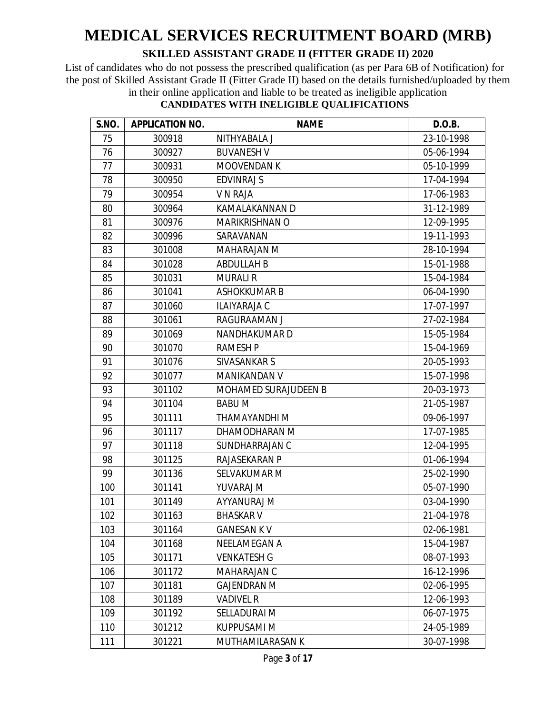List of candidates who do not possess the prescribed qualification (as per Para 6B of Notification) for the post of Skilled Assistant Grade II (Fitter Grade II) based on the details furnished/uploaded by them in their online application and liable to be treated as ineligible application

| S.NO. | <b>APPLICATION NO.</b> | <b>NAME</b>                 | D.O.B.     |
|-------|------------------------|-----------------------------|------------|
| 75    | 300918                 | NITHYABALA J                | 23-10-1998 |
| 76    | 300927                 | <b>BUVANESH V</b>           | 05-06-1994 |
| 77    | 300931                 | <b>MOOVENDAN K</b>          | 05-10-1999 |
| 78    | 300950                 | <b>EDVINRAJ S</b>           | 17-04-1994 |
| 79    | 300954                 | V N RAJA                    | 17-06-1983 |
| 80    | 300964                 | KAMALAKANNAN D              | 31-12-1989 |
| 81    | 300976                 | <b>MARIKRISHNAN O</b>       | 12-09-1995 |
| 82    | 300996                 | SARAVANAN                   | 19-11-1993 |
| 83    | 301008                 | MAHARAJAN M                 | 28-10-1994 |
| 84    | 301028                 | <b>ABDULLAH B</b>           | 15-01-1988 |
| 85    | 301031                 | <b>MURALI R</b>             | 15-04-1984 |
| 86    | 301041                 | <b>ASHOKKUMAR B</b>         | 06-04-1990 |
| 87    | 301060                 | <b>ILAIYARAJA C</b>         | 17-07-1997 |
| 88    | 301061                 | RAGURAAMAN J                | 27-02-1984 |
| 89    | 301069                 | NANDHAKUMAR D               | 15-05-1984 |
| 90    | 301070                 | <b>RAMESH P</b>             | 15-04-1969 |
| 91    | 301076                 | SIVASANKAR S                | 20-05-1993 |
| 92    | 301077                 | MANIKANDAN V                | 15-07-1998 |
| 93    | 301102                 | <b>MOHAMED SURAJUDEEN B</b> | 20-03-1973 |
| 94    | 301104                 | <b>BABU M</b>               | 21-05-1987 |
| 95    | 301111                 | THAMAYANDHI M               | 09-06-1997 |
| 96    | 301117                 | DHAMODHARAN M               | 17-07-1985 |
| 97    | 301118                 | SUNDHARRAJAN C              | 12-04-1995 |
| 98    | 301125                 | RAJASEKARAN P               | 01-06-1994 |
| 99    | 301136                 | <b>SELVAKUMAR M</b>         | 25-02-1990 |
| 100   | 301141                 | YUVARAJ M                   | 05-07-1990 |
| 101   | 301149                 | AYYANURAJ M                 | 03-04-1990 |
| 102   | 301163                 | <b>BHASKAR V</b>            | 21-04-1978 |
| 103   | 301164                 | <b>GANESAN KV</b>           | 02-06-1981 |
| 104   | 301168                 | NEELAMEGAN A                | 15-04-1987 |
| 105   | 301171                 | <b>VENKATESH G</b>          | 08-07-1993 |
| 106   | 301172                 | MAHARAJAN C                 | 16-12-1996 |
| 107   | 301181                 | <b>GAJENDRAN M</b>          | 02-06-1995 |
| 108   | 301189                 | <b>VADIVEL R</b>            | 12-06-1993 |
| 109   | 301192                 | <b>SELLADURAI M</b>         | 06-07-1975 |
| 110   | 301212                 | <b>KUPPUSAMI M</b>          | 24-05-1989 |
| 111   | 301221                 | MUTHAMILARASAN K            | 30-07-1998 |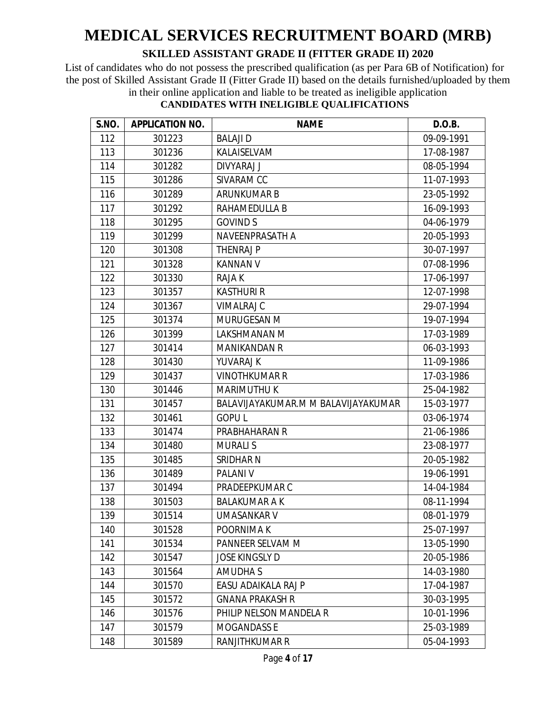List of candidates who do not possess the prescribed qualification (as per Para 6B of Notification) for the post of Skilled Assistant Grade II (Fitter Grade II) based on the details furnished/uploaded by them in their online application and liable to be treated as ineligible application

| S.NO. | <b>APPLICATION NO.</b> | <b>NAME</b>                         | D.O.B.     |
|-------|------------------------|-------------------------------------|------------|
| 112   | 301223                 | <b>BALAJID</b>                      | 09-09-1991 |
| 113   | 301236                 | KALAISELVAM                         | 17-08-1987 |
| 114   | 301282                 | DIVYARAJ J                          | 08-05-1994 |
| 115   | 301286                 | SIVARAM CC                          | 11-07-1993 |
| 116   | 301289                 | ARUNKUMAR B                         | 23-05-1992 |
| 117   | 301292                 | RAHAMEDULLA B                       | 16-09-1993 |
| 118   | 301295                 | <b>GOVIND S</b>                     | 04-06-1979 |
| 119   | 301299                 | NAVEENPRASATH A                     | 20-05-1993 |
| 120   | 301308                 | <b>THENRAJP</b>                     | 30-07-1997 |
| 121   | 301328                 | <b>KANNAN V</b>                     | 07-08-1996 |
| 122   | 301330                 | <b>RAJAK</b>                        | 17-06-1997 |
| 123   | 301357                 | <b>KASTHURI R</b>                   | 12-07-1998 |
| 124   | 301367                 | <b>VIMALRAJ C</b>                   | 29-07-1994 |
| 125   | 301374                 | MURUGESAN M                         | 19-07-1994 |
| 126   | 301399                 | LAKSHMANAN M                        | 17-03-1989 |
| 127   | 301414                 | <b>MANIKANDAN R</b>                 | 06-03-1993 |
| 128   | 301430                 | YUVARAJ K                           | 11-09-1986 |
| 129   | 301437                 | <b>VINOTHKUMAR R</b>                | 17-03-1986 |
| 130   | 301446                 | <b>MARIMUTHU K</b>                  | 25-04-1982 |
| 131   | 301457                 | BALAVIJAYAKUMAR.M M BALAVIJAYAKUMAR | 15-03-1977 |
| 132   | 301461                 | <b>GOPUL</b>                        | 03-06-1974 |
| 133   | 301474                 | PRABHAHARAN R                       | 21-06-1986 |
| 134   | 301480                 | <b>MURALIS</b>                      | 23-08-1977 |
| 135   | 301485                 | SRIDHAR N                           | 20-05-1982 |
| 136   | 301489                 | <b>PALANI V</b>                     | 19-06-1991 |
| 137   | 301494                 | PRADEEPKUMAR C                      | 14-04-1984 |
| 138   | 301503                 | <b>BALAKUMAR A K</b>                | 08-11-1994 |
| 139   | 301514                 | <b>UMASANKAR V</b>                  | 08-01-1979 |
| 140   | 301528                 | POORNIMA K                          | 25-07-1997 |
| 141   | 301534                 | PANNEER SELVAM M                    | 13-05-1990 |
| 142   | 301547                 | <b>JOSE KINGSLY D</b>               | 20-05-1986 |
| 143   | 301564                 | <b>AMUDHAS</b>                      | 14-03-1980 |
| 144   | 301570                 | EASU ADAIKALA RAJ P                 | 17-04-1987 |
| 145   | 301572                 | <b>GNANA PRAKASH R</b>              | 30-03-1995 |
| 146   | 301576                 | PHILIP NELSON MANDELA R             | 10-01-1996 |
| 147   | 301579                 | <b>MOGANDASS E</b>                  | 25-03-1989 |
| 148   | 301589                 | <b>RANJITHKUMAR R</b>               | 05-04-1993 |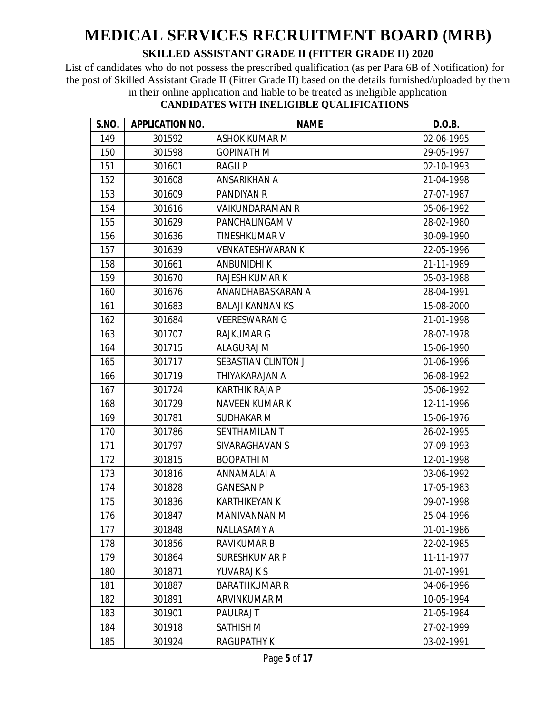List of candidates who do not possess the prescribed qualification (as per Para 6B of Notification) for the post of Skilled Assistant Grade II (Fitter Grade II) based on the details furnished/uploaded by them in their online application and liable to be treated as ineligible application

| S.NO. | <b>APPLICATION NO.</b> | <b>NAME</b>             | D.O.B.     |
|-------|------------------------|-------------------------|------------|
| 149   | 301592                 | <b>ASHOK KUMAR M</b>    | 02-06-1995 |
| 150   | 301598                 | <b>GOPINATH M</b>       | 29-05-1997 |
| 151   | 301601                 | <b>RAGUP</b>            | 02-10-1993 |
| 152   | 301608                 | ANSARIKHAN A            | 21-04-1998 |
| 153   | 301609                 | <b>PANDIYAN R</b>       | 27-07-1987 |
| 154   | 301616                 | <b>VAIKUNDARAMAN R</b>  | 05-06-1992 |
| 155   | 301629                 | PANCHALINGAM V          | 28-02-1980 |
| 156   | 301636                 | TINESHKUMAR V           | 30-09-1990 |
| 157   | 301639                 | <b>VENKATESHWARAN K</b> | 22-05-1996 |
| 158   | 301661                 | <b>ANBUNIDHI K</b>      | 21-11-1989 |
| 159   | 301670                 | <b>RAJESH KUMAR K</b>   | 05-03-1988 |
| 160   | 301676                 | ANANDHABASKARAN A       | 28-04-1991 |
| 161   | 301683                 | <b>BALAJI KANNAN KS</b> | 15-08-2000 |
| 162   | 301684                 | <b>VEERESWARAN G</b>    | 21-01-1998 |
| 163   | 301707                 | <b>RAJKUMAR G</b>       | 28-07-1978 |
| 164   | 301715                 | ALAGURAJ M              | 15-06-1990 |
| 165   | 301717                 | SEBASTIAN CLINTON J     | 01-06-1996 |
| 166   | 301719                 | THIYAKARAJAN A          | 06-08-1992 |
| 167   | 301724                 | <b>KARTHIK RAJA P</b>   | 05-06-1992 |
| 168   | 301729                 | <b>NAVEEN KUMAR K</b>   | 12-11-1996 |
| 169   | 301781                 | SUDHAKAR M              | 15-06-1976 |
| 170   | 301786                 | SENTHAMILAN T           | 26-02-1995 |
| 171   | 301797                 | SIVARAGHAVAN S          | 07-09-1993 |
| 172   | 301815                 | <b>BOOPATHIM</b>        | 12-01-1998 |
| 173   | 301816                 | ANNAMALAI A             | 03-06-1992 |
| 174   | 301828                 | <b>GANESAN P</b>        | 17-05-1983 |
| 175   | 301836                 | <b>KARTHIKEYAN K</b>    | 09-07-1998 |
| 176   | 301847                 | <b>MANIVANNAN M</b>     | 25-04-1996 |
| 177   | 301848                 | NALLASAMY A             | 01-01-1986 |
| 178   | 301856                 | <b>RAVIKUMAR B</b>      | 22-02-1985 |
| 179   | 301864                 | <b>SURESHKUMAR P</b>    | 11-11-1977 |
| 180   | 301871                 | YUVARAJ K S             | 01-07-1991 |
| 181   | 301887                 | <b>BARATHKUMAR R</b>    | 04-06-1996 |
| 182   | 301891                 | ARVINKUMAR M            | 10-05-1994 |
| 183   | 301901                 | PAULRAJ T               | 21-05-1984 |
| 184   | 301918                 | <b>SATHISH M</b>        | 27-02-1999 |
| 185   | 301924                 | <b>RAGUPATHY K</b>      | 03-02-1991 |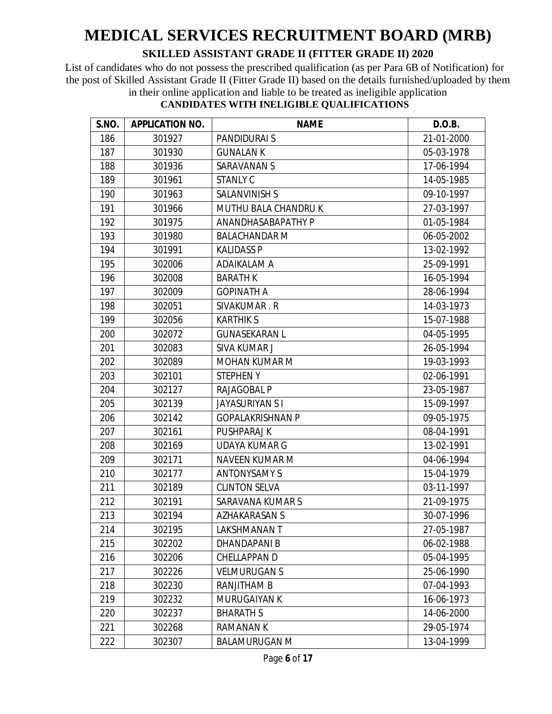List of candidates who do not possess the prescribed qualification (as per Para 6B of Notification) for the post of Skilled Assistant Grade II (Fitter Grade II) based on the details furnished/uploaded by them in their online application and liable to be treated as ineligible application **CANDIDATES WITH INELIGIBLE QUALIFICATIONS**

| S.NO. | <b>APPLICATION NO.</b> | <b>NAME</b>             | D.O.B.     |
|-------|------------------------|-------------------------|------------|
| 186   | 301927                 | <b>PANDIDURAI S</b>     | 21-01-2000 |
| 187   | 301930                 | <b>GUNALAN K</b>        | 05-03-1978 |
| 188   | 301936                 | <b>SARAVANAN S</b>      | 17-06-1994 |
| 189   | 301961                 | <b>STANLY C</b>         | 14-05-1985 |
| 190   | 301963                 | <b>SALANVINISH S</b>    | 09-10-1997 |
| 191   | 301966                 | MUTHU BALA CHANDRUK     | 27-03-1997 |
| 192   | 301975                 | ANANDHASABAPATHY P      | 01-05-1984 |
| 193   | 301980                 | <b>BALACHANDAR M</b>    | 06-05-2002 |
| 194   | 301991                 | <b>KALIDASS P</b>       | 13-02-1992 |
| 195   | 302006                 | ADAIKALAM A             | 25-09-1991 |
| 196   | 302008                 | <b>BARATH K</b>         | 16-05-1994 |
| 197   | 302009                 | <b>GOPINATH A</b>       | 28-06-1994 |
| 198   | 302051                 | SIVAKUMAR.R             | 14-03-1973 |
| 199   | 302056                 | <b>KARTHIK S</b>        | 15-07-1988 |
| 200   | 302072                 | <b>GUNASEKARAN L</b>    | 04-05-1995 |
| 201   | 302083                 | SIVA KUMAR J            | 26-05-1994 |
| 202   | 302089                 | <b>MOHAN KUMAR M</b>    | 19-03-1993 |
| 203   | 302101                 | <b>STEPHENY</b>         | 02-06-1991 |
| 204   | 302127                 | RAJAGOBAL P             | 23-05-1987 |
| 205   | 302139                 | <b>JAYASURIYAN S I</b>  | 15-09-1997 |
| 206   | 302142                 | <b>GOPALAKRISHNAN P</b> | 09-05-1975 |
| 207   | 302161                 | PUSHPARAJ K             | 08-04-1991 |
| 208   | 302169                 | <b>UDAYA KUMAR G</b>    | 13-02-1991 |
| 209   | 302171                 | <b>NAVEEN KUMAR M</b>   | 04-06-1994 |
| 210   | 302177                 | <b>ANTONYSAMY S</b>     | 15-04-1979 |
| 211   | 302189                 | <b>CLINTON SELVA</b>    | 03-11-1997 |
| 212   | 302191                 | SARAVANA KUMAR S        | 21-09-1975 |
| 213   | 302194                 | <b>AZHAKARASAN S</b>    | 30-07-1996 |
| 214   | 302195                 | LAKSHMANAN T            | 27-05-1987 |
| 215   | 302202                 | <b>DHANDAPANIB</b>      | 06-02-1988 |
| 216   | 302206                 | <b>CHELLAPPAN D</b>     | 05-04-1995 |
| 217   | 302226                 | <b>VELMURUGAN S</b>     | 25-06-1990 |
| 218   | 302230                 | <b>RANJITHAM B</b>      | 07-04-1993 |
| 219   | 302232                 | <b>MURUGAIYAN K</b>     | 16-06-1973 |
| 220   | 302237                 | <b>BHARATH S</b>        | 14-06-2000 |
| 221   | 302268                 | <b>RAMANANK</b>         | 29-05-1974 |
| 222   | 302307                 | <b>BALAMURUGAN M</b>    | 13-04-1999 |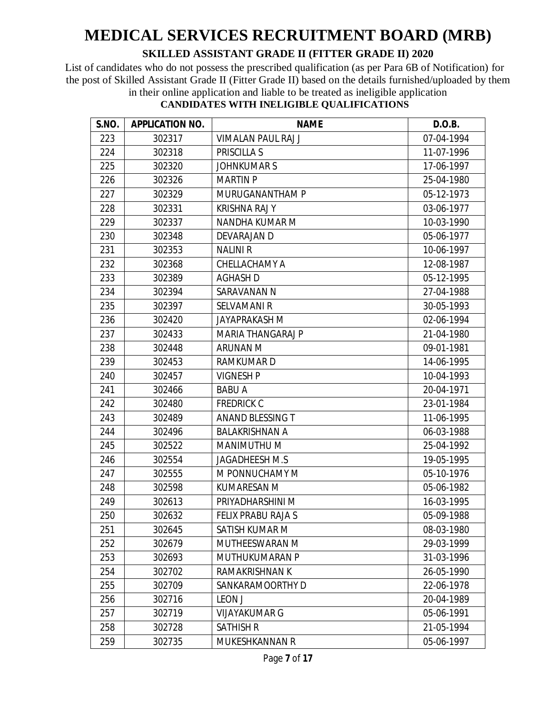List of candidates who do not possess the prescribed qualification (as per Para 6B of Notification) for the post of Skilled Assistant Grade II (Fitter Grade II) based on the details furnished/uploaded by them in their online application and liable to be treated as ineligible application

| S.NO. | <b>APPLICATION NO.</b> | <b>NAME</b>               | D.O.B.     |
|-------|------------------------|---------------------------|------------|
| 223   | 302317                 | VIMALAN PAUL RAJ J        | 07-04-1994 |
| 224   | 302318                 | <b>PRISCILLA S</b>        | 11-07-1996 |
| 225   | 302320                 | <b>JOHNKUMAR S</b>        | 17-06-1997 |
| 226   | 302326                 | <b>MARTIN P</b>           | 25-04-1980 |
| 227   | 302329                 | MURUGANANTHAM P           | 05-12-1973 |
| 228   | 302331                 | <b>KRISHNA RAJ Y</b>      | 03-06-1977 |
| 229   | 302337                 | NANDHA KUMAR M            | 10-03-1990 |
| 230   | 302348                 | DEVARAJAN D               | 05-06-1977 |
| 231   | 302353                 | <b>NALINIR</b>            | 10-06-1997 |
| 232   | 302368                 | CHELLACHAMY A             | 12-08-1987 |
| 233   | 302389                 | <b>AGHASH D</b>           | 05-12-1995 |
| 234   | 302394                 | SARAVANAN N               | 27-04-1988 |
| 235   | 302397                 | <b>SELVAMANI R</b>        | 30-05-1993 |
| 236   | 302420                 | <b>JAYAPRAKASH M</b>      | 02-06-1994 |
| 237   | 302433                 | <b>MARIA THANGARAJ P</b>  | 21-04-1980 |
| 238   | 302448                 | <b>ARUNAN M</b>           | 09-01-1981 |
| 239   | 302453                 | <b>RAMKUMARD</b>          | 14-06-1995 |
| 240   | 302457                 | <b>VIGNESH P</b>          | 10-04-1993 |
| 241   | 302466                 | <b>BABU A</b>             | 20-04-1971 |
| 242   | 302480                 | <b>FREDRICK C</b>         | 23-01-1984 |
| 243   | 302489                 | ANAND BLESSING T          | 11-06-1995 |
| 244   | 302496                 | <b>BALAKRISHNAN A</b>     | 06-03-1988 |
| 245   | 302522                 | MANIMUTHU M               | 25-04-1992 |
| 246   | 302554                 | JAGADHEESH M.S            | 19-05-1995 |
| 247   | 302555                 | M PONNUCHAMY M            | 05-10-1976 |
| 248   | 302598                 | <b>KUMARESAN M</b>        | 05-06-1982 |
| 249   | 302613                 | PRIYADHARSHINI M          | 16-03-1995 |
| 250   | 302632                 | <b>FELIX PRABU RAJA S</b> | 05-09-1988 |
| 251   | 302645                 | SATISH KUMAR M            | 08-03-1980 |
| 252   | 302679                 | MUTHEESWARAN M            | 29-03-1999 |
| 253   | 302693                 | <b>MUTHUKUMARAN P</b>     | 31-03-1996 |
| 254   | 302702                 | <b>RAMAKRISHNAN K</b>     | 26-05-1990 |
| 255   | 302709                 | SANKARAMOORTHY D          | 22-06-1978 |
| 256   | 302716                 | <b>LEON J</b>             | 20-04-1989 |
| 257   | 302719                 | <b>VIJAYAKUMAR G</b>      | 05-06-1991 |
| 258   | 302728                 | SATHISH R                 | 21-05-1994 |
| 259   | 302735                 | <b>MUKESHKANNAN R</b>     | 05-06-1997 |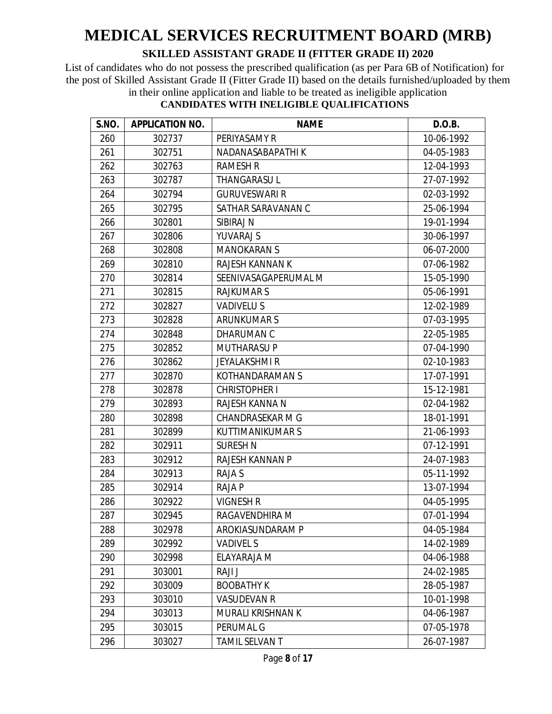List of candidates who do not possess the prescribed qualification (as per Para 6B of Notification) for the post of Skilled Assistant Grade II (Fitter Grade II) based on the details furnished/uploaded by them in their online application and liable to be treated as ineligible application

| S.NO. | <b>APPLICATION NO.</b> | <b>NAME</b>             | D.O.B.     |
|-------|------------------------|-------------------------|------------|
| 260   | 302737                 | PERIYASAMY R            | 10-06-1992 |
| 261   | 302751                 | NADANASABAPATHI K       | 04-05-1983 |
| 262   | 302763                 | <b>RAMESH R</b>         | 12-04-1993 |
| 263   | 302787                 | <b>THANGARASUL</b>      | 27-07-1992 |
| 264   | 302794                 | <b>GURUVESWARI R</b>    | 02-03-1992 |
| 265   | 302795                 | SATHAR SARAVANAN C      | 25-06-1994 |
| 266   | 302801                 | SIBIRAJ N               | 19-01-1994 |
| 267   | 302806                 | YUVARAJ S               | 30-06-1997 |
| 268   | 302808                 | <b>MANOKARAN S</b>      | 06-07-2000 |
| 269   | 302810                 | <b>RAJESH KANNAN K</b>  | 07-06-1982 |
| 270   | 302814                 | SEENIVASAGAPERUMAL M    | 15-05-1990 |
| 271   | 302815                 | <b>RAJKUMAR S</b>       | 05-06-1991 |
| 272   | 302827                 | <b>VADIVELUS</b>        | 12-02-1989 |
| 273   | 302828                 | <b>ARUNKUMARS</b>       | 07-03-1995 |
| 274   | 302848                 | <b>DHARUMAN C</b>       | 22-05-1985 |
| 275   | 302852                 | <b>MUTHARASUP</b>       | 07-04-1990 |
| 276   | 302862                 | <b>JEYALAKSHMIR</b>     | 02-10-1983 |
| 277   | 302870                 | KOTHANDARAMAN S         | 17-07-1991 |
| 278   | 302878                 | <b>CHRISTOPHER I</b>    | 15-12-1981 |
| 279   | 302893                 | RAJESH KANNA N          | 02-04-1982 |
| 280   | 302898                 | <b>CHANDRASEKAR M G</b> | 18-01-1991 |
| 281   | 302899                 | <b>KUTTIMANIKUMARS</b>  | 21-06-1993 |
| 282   | 302911                 | <b>SURESH N</b>         | 07-12-1991 |
| 283   | 302912                 | <b>RAJESH KANNAN P</b>  | 24-07-1983 |
| 284   | 302913                 | <b>RAJA S</b>           | 05-11-1992 |
| 285   | 302914                 | <b>RAJAP</b>            | 13-07-1994 |
| 286   | 302922                 | <b>VIGNESH R</b>        | 04-05-1995 |
| 287   | 302945                 | RAGAVENDHIRA M          | 07-01-1994 |
| 288   | 302978                 | AROKIASUNDARAM P        | 04-05-1984 |
| 289   | 302992                 | <b>VADIVEL S</b>        | 14-02-1989 |
| 290   | 302998                 | ELAYARAJA M             | 04-06-1988 |
| 291   | 303001                 | RAJI J                  | 24-02-1985 |
| 292   | 303009                 | <b>BOOBATHY K</b>       | 28-05-1987 |
| 293   | 303010                 | <b>VASUDEVAN R</b>      | 10-01-1998 |
| 294   | 303013                 | MURALI KRISHNAN K       | 04-06-1987 |
| 295   | 303015                 | PERUMAL G               | 07-05-1978 |
| 296   | 303027                 | TAMIL SELVAN T          | 26-07-1987 |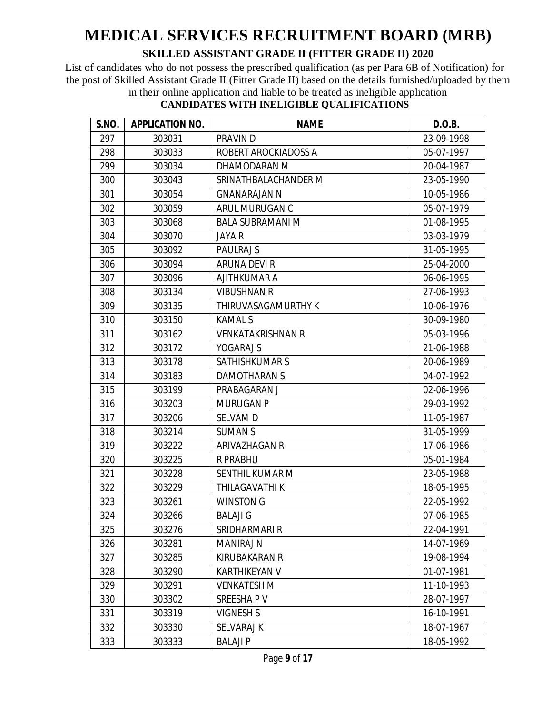List of candidates who do not possess the prescribed qualification (as per Para 6B of Notification) for the post of Skilled Assistant Grade II (Fitter Grade II) based on the details furnished/uploaded by them in their online application and liable to be treated as ineligible application

| S.NO. | <b>APPLICATION NO.</b> | <b>NAME</b>              | D.O.B.     |
|-------|------------------------|--------------------------|------------|
| 297   | 303031                 | PRAVIN D                 | 23-09-1998 |
| 298   | 303033                 | ROBERT AROCKIADOSS A     | 05-07-1997 |
| 299   | 303034                 | DHAMODARAN M             | 20-04-1987 |
| 300   | 303043                 | SRINATHBALACHANDER M     | 23-05-1990 |
| 301   | 303054                 | <b>GNANARAJAN N</b>      | 10-05-1986 |
| 302   | 303059                 | ARUL MURUGAN C           | 05-07-1979 |
| 303   | 303068                 | <b>BALA SUBRAMANI M</b>  | 01-08-1995 |
| 304   | 303070                 | <b>JAYA R</b>            | 03-03-1979 |
| 305   | 303092                 | <b>PAULRAJ S</b>         | 31-05-1995 |
| 306   | 303094                 | ARUNA DEVI R             | 25-04-2000 |
| 307   | 303096                 | <b>AJITHKUMAR A</b>      | 06-06-1995 |
| 308   | 303134                 | <b>VIBUSHNAN R</b>       | 27-06-1993 |
| 309   | 303135                 | THIRUVASAGAMURTHY K      | 10-06-1976 |
| 310   | 303150                 | <b>KAMALS</b>            | 30-09-1980 |
| 311   | 303162                 | <b>VENKATAKRISHNAN R</b> | 05-03-1996 |
| 312   | 303172                 | YOGARAJ S                | 21-06-1988 |
| 313   | 303178                 | SATHISHKUMAR S           | 20-06-1989 |
| 314   | 303183                 | DAMOTHARAN S             | 04-07-1992 |
| 315   | 303199                 | PRABAGARAN J             | 02-06-1996 |
| 316   | 303203                 | <b>MURUGAN P</b>         | 29-03-1992 |
| 317   | 303206                 | <b>SELVAMD</b>           | 11-05-1987 |
| 318   | 303214                 | <b>SUMAN S</b>           | 31-05-1999 |
| 319   | 303222                 | ARIVAZHAGAN R            | 17-06-1986 |
| 320   | 303225                 | R PRABHU                 | 05-01-1984 |
| 321   | 303228                 | SENTHIL KUMAR M          | 23-05-1988 |
| 322   | 303229                 | THILAGAVATHI K           | 18-05-1995 |
| 323   | 303261                 | <b>WINSTON G</b>         | 22-05-1992 |
| 324   | 303266                 | <b>BALAJI G</b>          | 07-06-1985 |
| 325   | 303276                 | SRIDHARMARI R            | 22-04-1991 |
| 326   | 303281                 | <b>MANIRAJ N</b>         | 14-07-1969 |
| 327   | 303285                 | KIRUBAKARAN R            | 19-08-1994 |
| 328   | 303290                 | <b>KARTHIKEYAN V</b>     | 01-07-1981 |
| 329   | 303291                 | <b>VENKATESH M</b>       | 11-10-1993 |
| 330   | 303302                 | SREESHAPV                | 28-07-1997 |
| 331   | 303319                 | <b>VIGNESH S</b>         | 16-10-1991 |
| 332   | 303330                 | <b>SELVARAJ K</b>        | 18-07-1967 |
| 333   | 303333                 | <b>BALAJI P</b>          | 18-05-1992 |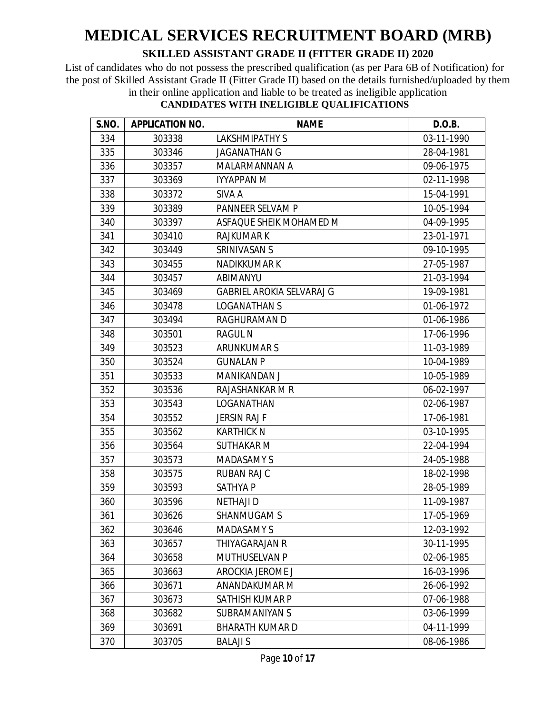List of candidates who do not possess the prescribed qualification (as per Para 6B of Notification) for the post of Skilled Assistant Grade II (Fitter Grade II) based on the details furnished/uploaded by them in their online application and liable to be treated as ineligible application

| S.NO. | <b>APPLICATION NO.</b> | <b>NAME</b>                      | D.O.B.     |
|-------|------------------------|----------------------------------|------------|
| 334   | 303338                 | LAKSHMIPATHY S                   | 03-11-1990 |
| 335   | 303346                 | <b>JAGANATHAN G</b>              | 28-04-1981 |
| 336   | 303357                 | MALARMANNAN A                    | 09-06-1975 |
| 337   | 303369                 | <b>IYYAPPAN M</b>                | 02-11-1998 |
| 338   | 303372                 | SIVA A                           | 15-04-1991 |
| 339   | 303389                 | PANNEER SELVAM P                 | 10-05-1994 |
| 340   | 303397                 | ASFAQUE SHEIK MOHAMED M          | 04-09-1995 |
| 341   | 303410                 | <b>RAJKUMAR K</b>                | 23-01-1971 |
| 342   | 303449                 | SRINIVASAN S                     | 09-10-1995 |
| 343   | 303455                 | <b>NADIKKUMAR K</b>              | 27-05-1987 |
| 344   | 303457                 | ABIMANYU                         | 21-03-1994 |
| 345   | 303469                 | <b>GABRIEL AROKIA SELVARAJ G</b> | 19-09-1981 |
| 346   | 303478                 | <b>LOGANATHAN S</b>              | 01-06-1972 |
| 347   | 303494                 | RAGHURAMAN D                     | 01-06-1986 |
| 348   | 303501                 | <b>RAGUL N</b>                   | 17-06-1996 |
| 349   | 303523                 | <b>ARUNKUMARS</b>                | 11-03-1989 |
| 350   | 303524                 | <b>GUNALAN P</b>                 | 10-04-1989 |
| 351   | 303533                 | <b>MANIKANDAN J</b>              | 10-05-1989 |
| 352   | 303536                 | RAJASHANKAR M R                  | 06-02-1997 |
| 353   | 303543                 | LOGANATHAN                       | 02-06-1987 |
| 354   | 303552                 | <b>JERSIN RAJ F</b>              | 17-06-1981 |
| 355   | 303562                 | <b>KARTHICK N</b>                | 03-10-1995 |
| 356   | 303564                 | <b>SUTHAKAR M</b>                | 22-04-1994 |
| 357   | 303573                 | <b>MADASAMY S</b>                | 24-05-1988 |
| 358   | 303575                 | <b>RUBAN RAJ C</b>               | 18-02-1998 |
| 359   | 303593                 | <b>SATHYAP</b>                   | 28-05-1989 |
| 360   | 303596                 | <b>NETHAJI D</b>                 | 11-09-1987 |
| 361   | 303626                 | <b>SHANMUGAM S</b>               | 17-05-1969 |
| 362   | 303646                 | <b>MADASAMY S</b>                | 12-03-1992 |
| 363   | 303657                 | THIYAGARAJAN R                   | 30-11-1995 |
| 364   | 303658                 | <b>MUTHUSELVAN P</b>             | 02-06-1985 |
| 365   | 303663                 | AROCKIA JEROME J                 | 16-03-1996 |
| 366   | 303671                 | ANANDAKUMAR M                    | 26-06-1992 |
| 367   | 303673                 | SATHISH KUMAR P                  | 07-06-1988 |
| 368   | 303682                 | <b>SUBRAMANIYAN S</b>            | 03-06-1999 |
| 369   | 303691                 | <b>BHARATH KUMAR D</b>           | 04-11-1999 |
| 370   | 303705                 | <b>BALAJI S</b>                  | 08-06-1986 |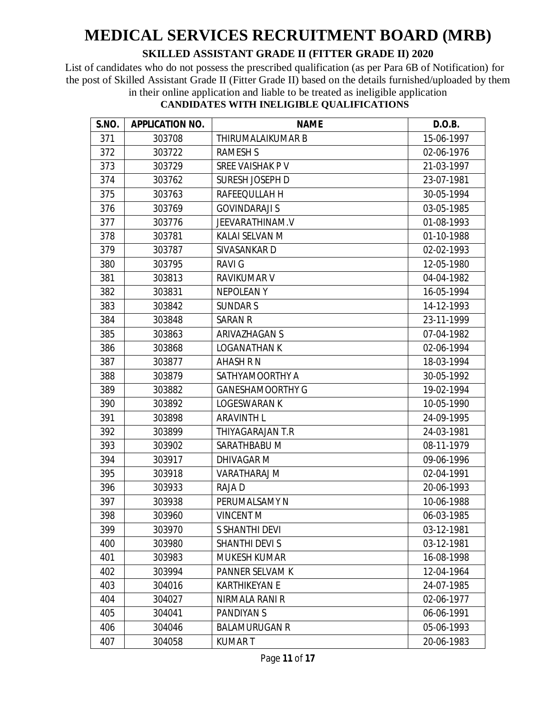List of candidates who do not possess the prescribed qualification (as per Para 6B of Notification) for the post of Skilled Assistant Grade II (Fitter Grade II) based on the details furnished/uploaded by them in their online application and liable to be treated as ineligible application

| S.NO. | <b>APPLICATION NO.</b> | <b>NAME</b>             | D.O.B.     |
|-------|------------------------|-------------------------|------------|
| 371   | 303708                 | THIRUMALAIKUMAR B       | 15-06-1997 |
| 372   | 303722                 | <b>RAMESH S</b>         | 02-06-1976 |
| 373   | 303729                 | SREE VAISHAK P V        | 21-03-1997 |
| 374   | 303762                 | SURESH JOSEPH D         | 23-07-1981 |
| 375   | 303763                 | RAFEEQULLAH H           | 30-05-1994 |
| 376   | 303769                 | <b>GOVINDARAJI S</b>    | 03-05-1985 |
| 377   | 303776                 | JEEVARATHINAM.V         | 01-08-1993 |
| 378   | 303781                 | KALAI SELVAN M          | 01-10-1988 |
| 379   | 303787                 | SIVASANKAR D            | 02-02-1993 |
| 380   | 303795                 | <b>RAVIG</b>            | 12-05-1980 |
| 381   | 303813                 | <b>RAVIKUMAR V</b>      | 04-04-1982 |
| 382   | 303831                 | <b>NEPOLEANY</b>        | 16-05-1994 |
| 383   | 303842                 | <b>SUNDARS</b>          | 14-12-1993 |
| 384   | 303848                 | <b>SARAN R</b>          | 23-11-1999 |
| 385   | 303863                 | ARIVAZHAGAN S           | 07-04-1982 |
| 386   | 303868                 | <b>LOGANATHAN K</b>     | 02-06-1994 |
| 387   | 303877                 | AHASH R N               | 18-03-1994 |
| 388   | 303879                 | SATHYAMOORTHY A         | 30-05-1992 |
| 389   | 303882                 | <b>GANESHAMOORTHY G</b> | 19-02-1994 |
| 390   | 303892                 | <b>LOGESWARAN K</b>     | 10-05-1990 |
| 391   | 303898                 | <b>ARAVINTH L</b>       | 24-09-1995 |
| 392   | 303899                 | THIYAGARAJAN T.R        | 24-03-1981 |
| 393   | 303902                 | SARATHBABU M            | 08-11-1979 |
| 394   | 303917                 | DHIVAGAR M              | 09-06-1996 |
| 395   | 303918                 | VARATHARAJ M            | 02-04-1991 |
| 396   | 303933                 | <b>RAJAD</b>            | 20-06-1993 |
| 397   | 303938                 | PERUMALSAMY N           | 10-06-1988 |
| 398   | 303960                 | <b>VINCENT M</b>        | 06-03-1985 |
| 399   | 303970                 | S SHANTHI DEVI          | 03-12-1981 |
| 400   | 303980                 | SHANTHI DEVI S          | 03-12-1981 |
| 401   | 303983                 | <b>MUKESH KUMAR</b>     | 16-08-1998 |
| 402   | 303994                 | PANNER SELVAM K         | 12-04-1964 |
| 403   | 304016                 | <b>KARTHIKEYAN E</b>    | 24-07-1985 |
| 404   | 304027                 | NIRMALA RANI R          | 02-06-1977 |
| 405   | 304041                 | <b>PANDIYAN S</b>       | 06-06-1991 |
| 406   | 304046                 | <b>BALAMURUGAN R</b>    | 05-06-1993 |
| 407   | 304058                 | <b>KUMART</b>           | 20-06-1983 |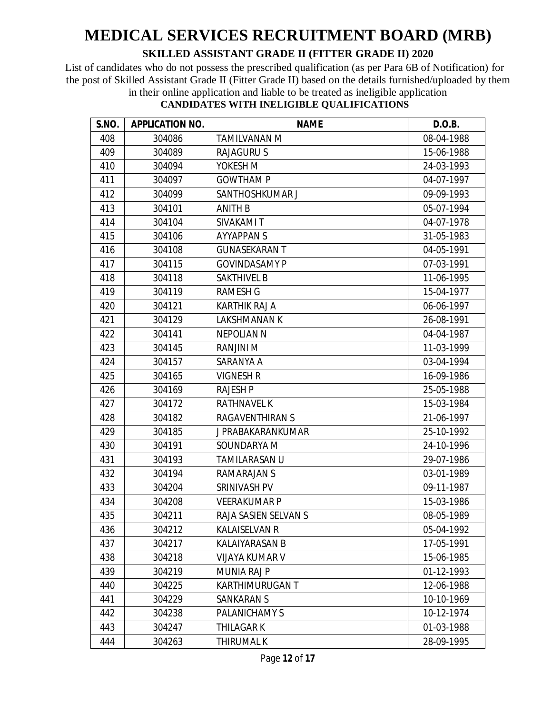List of candidates who do not possess the prescribed qualification (as per Para 6B of Notification) for the post of Skilled Assistant Grade II (Fitter Grade II) based on the details furnished/uploaded by them in their online application and liable to be treated as ineligible application

| <b>S.NO.</b> | <b>APPLICATION NO.</b> | <b>NAME</b>              | D.O.B.     |
|--------------|------------------------|--------------------------|------------|
| 408          | 304086                 | <b>TAMILVANAN M</b>      | 08-04-1988 |
| 409          | 304089                 | <b>RAJAGURUS</b>         | 15-06-1988 |
| 410          | 304094                 | YOKESH M                 | 24-03-1993 |
| 411          | 304097                 | <b>GOWTHAM P</b>         | 04-07-1997 |
| 412          | 304099                 | SANTHOSHKUMAR J          | 09-09-1993 |
| 413          | 304101                 | <b>ANITH B</b>           | 05-07-1994 |
| 414          | 304104                 | SIVAKAMI T               | 04-07-1978 |
| 415          | 304106                 | <b>AYYAPPANS</b>         | 31-05-1983 |
| 416          | 304108                 | <b>GUNASEKARAN T</b>     | 04-05-1991 |
| 417          | 304115                 | <b>GOVINDASAMY P</b>     | 07-03-1991 |
| 418          | 304118                 | <b>SAKTHIVEL B</b>       | 11-06-1995 |
| 419          | 304119                 | <b>RAMESH G</b>          | 15-04-1977 |
| 420          | 304121                 | <b>KARTHIK RAJ A</b>     | 06-06-1997 |
| 421          | 304129                 | <b>LAKSHMANAN K</b>      | 26-08-1991 |
| 422          | 304141                 | <b>NEPOLIAN N</b>        | 04-04-1987 |
| 423          | 304145                 | <b>RANJINI M</b>         | 11-03-1999 |
| 424          | 304157                 | SARANYA A                | 03-04-1994 |
| 425          | 304165                 | <b>VIGNESH R</b>         | 16-09-1986 |
| 426          | 304169                 | <b>RAJESH P</b>          | 25-05-1988 |
| 427          | 304172                 | <b>RATHNAVEL K</b>       | 15-03-1984 |
| 428          | 304182                 | <b>RAGAVENTHIRANS</b>    | 21-06-1997 |
| 429          | 304185                 | <b>J PRABAKARANKUMAR</b> | 25-10-1992 |
| 430          | 304191                 | SOUNDARYA M              | 24-10-1996 |
| 431          | 304193                 | TAMILARASAN U            | 29-07-1986 |
| 432          | 304194                 | <b>RAMARAJAN S</b>       | 03-01-1989 |
| 433          | 304204                 | SRINIVASH PV             | 09-11-1987 |
| 434          | 304208                 | <b>VEERAKUMAR P</b>      | 15-03-1986 |
| 435          | 304211                 | RAJA SASIEN SELVAN S     | 08-05-1989 |
| 436          | 304212                 | <b>KALAISELVAN R</b>     | 05-04-1992 |
| 437          | 304217                 | KALAIYARASAN B           | 17-05-1991 |
| 438          | 304218                 | <b>VIJAYA KUMAR V</b>    | 15-06-1985 |
| 439          | 304219                 | <b>MUNIA RAJ P</b>       | 01-12-1993 |
| 440          | 304225                 | <b>KARTHIMURUGAN T</b>   | 12-06-1988 |
| 441          | 304229                 | <b>SANKARAN S</b>        | 10-10-1969 |
| 442          | 304238                 | PALANICHAMY S            | 10-12-1974 |
| 443          | 304247                 | THILAGAR K               | 01-03-1988 |
| 444          | 304263                 | <b>THIRUMAL K</b>        | 28-09-1995 |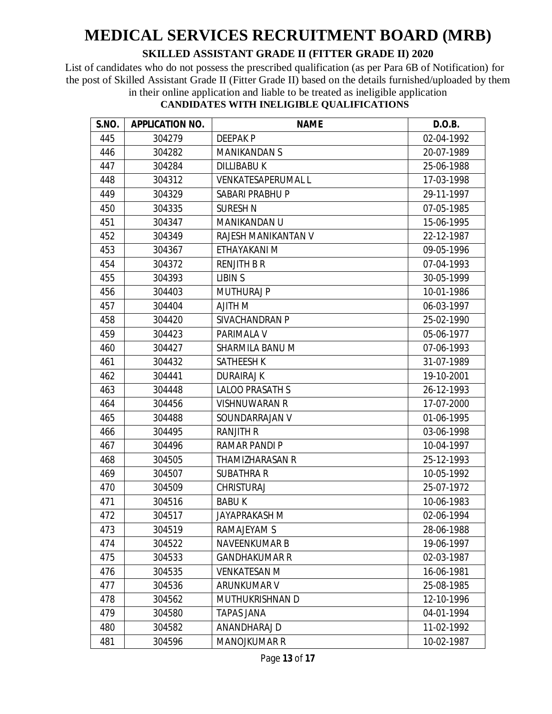List of candidates who do not possess the prescribed qualification (as per Para 6B of Notification) for the post of Skilled Assistant Grade II (Fitter Grade II) based on the details furnished/uploaded by them in their online application and liable to be treated as ineligible application **CANDIDATES WITH INELIGIBLE QUALIFICATIONS**

| S.NO. | <b>APPLICATION NO.</b> | <b>NAME</b>              | D.O.B.     |
|-------|------------------------|--------------------------|------------|
| 445   | 304279                 | DEEPAK P                 | 02-04-1992 |
| 446   | 304282                 | <b>MANIKANDAN S</b>      | 20-07-1989 |
| 447   | 304284                 | <b>DILLIBABU K</b>       | 25-06-1988 |
| 448   | 304312                 | <b>VENKATESAPERUMALL</b> | 17-03-1998 |
| 449   | 304329                 | SABARI PRABHU P          | 29-11-1997 |
| 450   | 304335                 | <b>SURESH N</b>          | 07-05-1985 |
| 451   | 304347                 | MANIKANDAN U             | 15-06-1995 |
| 452   | 304349                 | RAJESH MANIKANTAN V      | 22-12-1987 |
| 453   | 304367                 | ETHAYAKANI M             | 09-05-1996 |
| 454   | 304372                 | <b>RENJITH B R</b>       | 07-04-1993 |
| 455   | 304393                 | <b>LIBIN S</b>           | 30-05-1999 |
| 456   | 304403                 | <b>MUTHURAJ P</b>        | 10-01-1986 |
| 457   | 304404                 | <b>AJITH M</b>           | 06-03-1997 |
| 458   | 304420                 | SIVACHANDRAN P           | 25-02-1990 |
| 459   | 304423                 | PARIMALA V               | 05-06-1977 |
| 460   | 304427                 | <b>SHARMILA BANU M</b>   | 07-06-1993 |
| 461   | 304432                 | <b>SATHEESH K</b>        | 31-07-1989 |
| 462   | 304441                 | <b>DURAIRAJ K</b>        | 19-10-2001 |
| 463   | 304448                 | <b>LALOO PRASATH S</b>   | 26-12-1993 |
| 464   | 304456                 | <b>VISHNUWARAN R</b>     | 17-07-2000 |
| 465   | 304488                 | SOUNDARRAJAN V           | 01-06-1995 |
| 466   | 304495                 | <b>RANJITH R</b>         | 03-06-1998 |
| 467   | 304496                 | RAMAR PANDI P            | 10-04-1997 |
| 468   | 304505                 | THAMIZHARASAN R          | 25-12-1993 |
| 469   | 304507                 | <b>SUBATHRA R</b>        | 10-05-1992 |
| 470   | 304509                 | <b>CHRISTURAJ</b>        | 25-07-1972 |
| 471   | 304516                 | <b>BABUK</b>             | 10-06-1983 |
| 472   | 304517                 | <b>JAYAPRAKASH M</b>     | 02-06-1994 |
| 473   | 304519                 | <b>RAMAJEYAM S</b>       | 28-06-1988 |
| 474   | 304522                 | <b>NAVEENKUMAR B</b>     | 19-06-1997 |
| 475   | 304533                 | <b>GANDHAKUMAR R</b>     | 02-03-1987 |
| 476   | 304535                 | <b>VENKATESAN M</b>      | 16-06-1981 |
| 477   | 304536                 | ARUNKUMAR V              | 25-08-1985 |
| 478   | 304562                 | MUTHUKRISHNAN D          | 12-10-1996 |
| 479   | 304580                 | <b>TAPAS JANA</b>        | 04-01-1994 |
| 480   | 304582                 | ANANDHARAJ D             | 11-02-1992 |
| 481   | 304596                 | <b>MANOJKUMAR R</b>      | 10-02-1987 |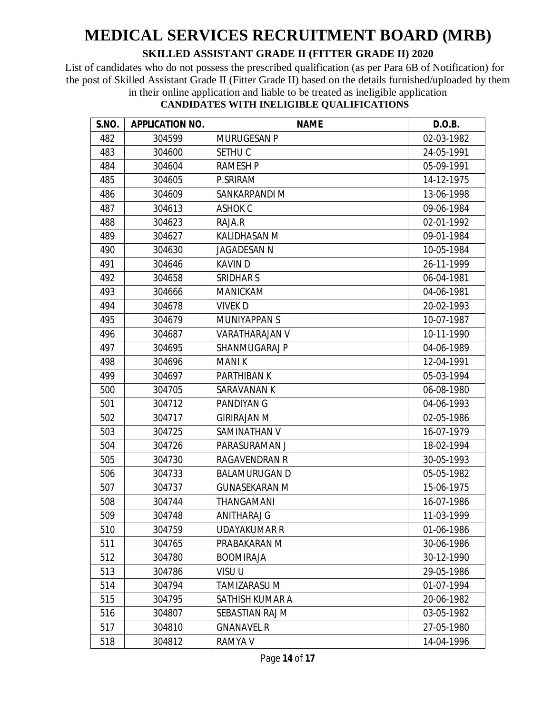List of candidates who do not possess the prescribed qualification (as per Para 6B of Notification) for the post of Skilled Assistant Grade II (Fitter Grade II) based on the details furnished/uploaded by them in their online application and liable to be treated as ineligible application

| S.NO. | <b>APPLICATION NO.</b> | <b>NAME</b>            | D.O.B.     |
|-------|------------------------|------------------------|------------|
| 482   | 304599                 | <b>MURUGESAN P</b>     | 02-03-1982 |
| 483   | 304600                 | SETHU <sub>C</sub>     | 24-05-1991 |
| 484   | 304604                 | <b>RAMESH P</b>        | 05-09-1991 |
| 485   | 304605                 | P.SRIRAM               | 14-12-1975 |
| 486   | 304609                 | SANKARPANDI M          | 13-06-1998 |
| 487   | 304613                 | <b>ASHOK C</b>         | 09-06-1984 |
| 488   | 304623                 | RAJA.R                 | 02-01-1992 |
| 489   | 304627                 | <b>KALIDHASAN M</b>    | 09-01-1984 |
| 490   | 304630                 | <b>JAGADESAN N</b>     | 10-05-1984 |
| 491   | 304646                 | <b>KAVIND</b>          | 26-11-1999 |
| 492   | 304658                 | SRIDHAR S              | 06-04-1981 |
| 493   | 304666                 | <b>MANICKAM</b>        | 04-06-1981 |
| 494   | 304678                 | <b>VIVEK D</b>         | 20-02-1993 |
| 495   | 304679                 | MUNIYAPPAN S           | 10-07-1987 |
| 496   | 304687                 | <b>VARATHARAJAN V</b>  | 10-11-1990 |
| 497   | 304695                 | SHANMUGARAJ P          | 04-06-1989 |
| 498   | 304696                 | <b>MANIK</b>           | 12-04-1991 |
| 499   | 304697                 | PARTHIBAN K            | 05-03-1994 |
| 500   | 304705                 | SARAVANAN K            | 06-08-1980 |
| 501   | 304712                 | <b>PANDIYAN G</b>      | 04-06-1993 |
| 502   | 304717                 | <b>GIRIRAJAN M</b>     | 02-05-1986 |
| 503   | 304725                 | SAMINATHAN V           | 16-07-1979 |
| 504   | 304726                 | PARASURAMAN J          | 18-02-1994 |
| 505   | 304730                 | <b>RAGAVENDRAN R</b>   | 30-05-1993 |
| 506   | 304733                 | <b>BALAMURUGAN D</b>   | 05-05-1982 |
| 507   | 304737                 | <b>GUNASEKARAN M</b>   | 15-06-1975 |
| 508   | 304744                 | <b>THANGAMANI</b>      | 16-07-1986 |
| 509   | 304748                 | ANITHARAJ G            | 11-03-1999 |
| 510   | 304759                 | <b>UDAYAKUMAR R</b>    | 01-06-1986 |
| 511   | 304765                 | PRABAKARAN M           | 30-06-1986 |
| 512   | 304780                 | <b>BOOMIRAJA</b>       | 30-12-1990 |
| 513   | 304786                 | VISU U                 | 29-05-1986 |
| 514   | 304794                 | <b>TAMIZARASU M</b>    | 01-07-1994 |
| 515   | 304795                 | SATHISH KUMAR A        | 20-06-1982 |
| 516   | 304807                 | <b>SEBASTIAN RAJ M</b> | 03-05-1982 |
| 517   | 304810                 | <b>GNANAVEL R</b>      | 27-05-1980 |
| 518   | 304812                 | <b>RAMYA V</b>         | 14-04-1996 |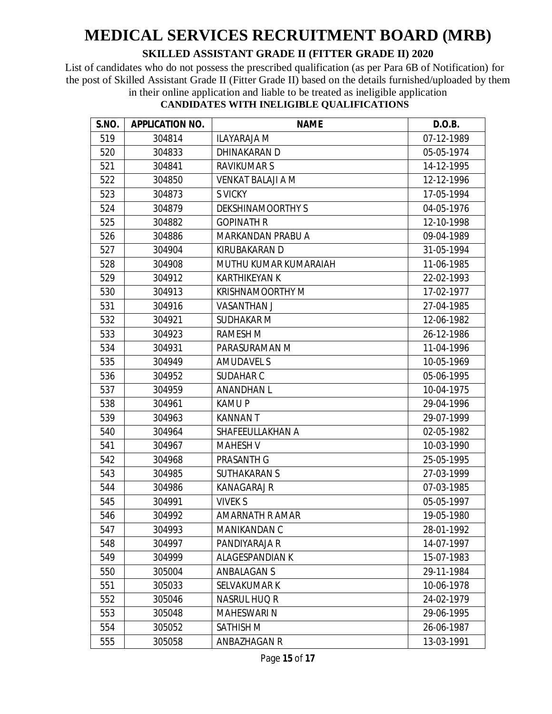List of candidates who do not possess the prescribed qualification (as per Para 6B of Notification) for the post of Skilled Assistant Grade II (Fitter Grade II) based on the details furnished/uploaded by them in their online application and liable to be treated as ineligible application

| S.NO. | <b>APPLICATION NO.</b> | <b>NAME</b>              | D.O.B.     |
|-------|------------------------|--------------------------|------------|
| 519   | 304814                 | <b>ILAYARAJA M</b>       | 07-12-1989 |
| 520   | 304833                 | DHINAKARAN D             | 05-05-1974 |
| 521   | 304841                 | <b>RAVIKUMAR S</b>       | 14-12-1995 |
| 522   | 304850                 | <b>VENKAT BALAJI A M</b> | 12-12-1996 |
| 523   | 304873                 | <b>S VICKY</b>           | 17-05-1994 |
| 524   | 304879                 | <b>DEKSHINAMOORTHY S</b> | 04-05-1976 |
| 525   | 304882                 | <b>GOPINATH R</b>        | 12-10-1998 |
| 526   | 304886                 | MARKANDAN PRABU A        | 09-04-1989 |
| 527   | 304904                 | <b>KIRUBAKARAN D</b>     | 31-05-1994 |
| 528   | 304908                 | MUTHU KUMAR KUMARAIAH    | 11-06-1985 |
| 529   | 304912                 | <b>KARTHIKEYAN K</b>     | 22-02-1993 |
| 530   | 304913                 | <b>KRISHNAMOORTHY M</b>  | 17-02-1977 |
| 531   | 304916                 | <b>VASANTHAN J</b>       | 27-04-1985 |
| 532   | 304921                 | <b>SUDHAKAR M</b>        | 12-06-1982 |
| 533   | 304923                 | <b>RAMESH M</b>          | 26-12-1986 |
| 534   | 304931                 | PARASURAMAN M            | 11-04-1996 |
| 535   | 304949                 | <b>AMUDAVEL S</b>        | 10-05-1969 |
| 536   | 304952                 | <b>SUDAHARC</b>          | 05-06-1995 |
| 537   | 304959                 | <b>ANANDHAN L</b>        | 10-04-1975 |
| 538   | 304961                 | <b>KAMUP</b>             | 29-04-1996 |
| 539   | 304963                 | <b>KANNANT</b>           | 29-07-1999 |
| 540   | 304964                 | SHAFEEULLAKHAN A         | 02-05-1982 |
| 541   | 304967                 | <b>MAHESH V</b>          | 10-03-1990 |
| 542   | 304968                 | <b>PRASANTH G</b>        | 25-05-1995 |
| 543   | 304985                 | <b>SUTHAKARAN S</b>      | 27-03-1999 |
| 544   | 304986                 | <b>KANAGARAJ R</b>       | 07-03-1985 |
| 545   | 304991                 | <b>VIVEK S</b>           | 05-05-1997 |
| 546   | 304992                 | AMARNATH R AMAR          | 19-05-1980 |
| 547   | 304993                 | MANIKANDAN C             | 28-01-1992 |
| 548   | 304997                 | PANDIYARAJA R            | 14-07-1997 |
| 549   | 304999                 | <b>ALAGESPANDIAN K</b>   | 15-07-1983 |
| 550   | 305004                 | <b>ANBALAGANS</b>        | 29-11-1984 |
| 551   | 305033                 | <b>SELVAKUMAR K</b>      | 10-06-1978 |
| 552   | 305046                 | <b>NASRUL HUQ R</b>      | 24-02-1979 |
| 553   | 305048                 | <b>MAHESWARI N</b>       | 29-06-1995 |
| 554   | 305052                 | SATHISH M                | 26-06-1987 |
| 555   | 305058                 | ANBAZHAGAN R             | 13-03-1991 |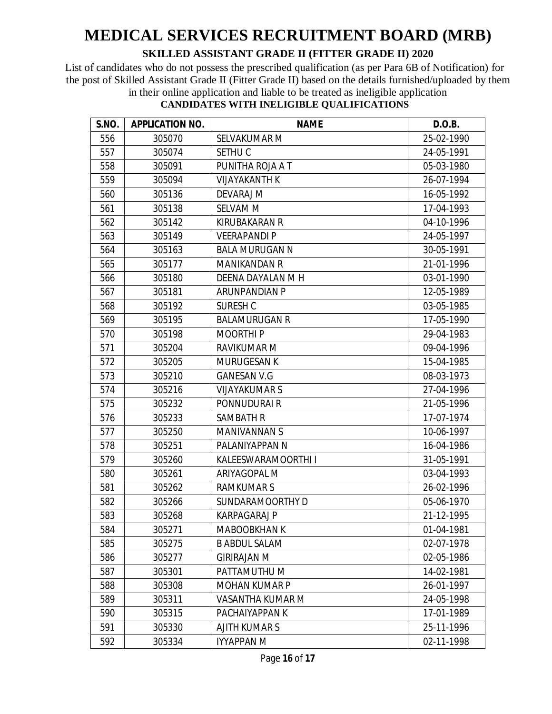List of candidates who do not possess the prescribed qualification (as per Para 6B of Notification) for the post of Skilled Assistant Grade II (Fitter Grade II) based on the details furnished/uploaded by them in their online application and liable to be treated as ineligible application

| S.NO. | <b>APPLICATION NO.</b> | <b>NAME</b>           | D.O.B.     |
|-------|------------------------|-----------------------|------------|
| 556   | 305070                 | <b>SELVAKUMAR M</b>   | 25-02-1990 |
| 557   | 305074                 | SETHU <sub>C</sub>    | 24-05-1991 |
| 558   | 305091                 | PUNITHA ROJA A T      | 05-03-1980 |
| 559   | 305094                 | <b>VIJAYAKANTH K</b>  | 26-07-1994 |
| 560   | 305136                 | DEVARAJ M             | 16-05-1992 |
| 561   | 305138                 | <b>SELVAM M</b>       | 17-04-1993 |
| 562   | 305142                 | <b>KIRUBAKARAN R</b>  | 04-10-1996 |
| 563   | 305149                 | <b>VEERAPANDI P</b>   | 24-05-1997 |
| 564   | 305163                 | <b>BALA MURUGAN N</b> | 30-05-1991 |
| 565   | 305177                 | <b>MANIKANDAN R</b>   | 21-01-1996 |
| 566   | 305180                 | DEENA DAYALAN M H     | 03-01-1990 |
| 567   | 305181                 | ARUNPANDIAN P         | 12-05-1989 |
| 568   | 305192                 | SURESH C              | 03-05-1985 |
| 569   | 305195                 | <b>BALAMURUGAN R</b>  | 17-05-1990 |
| 570   | 305198                 | <b>MOORTHIP</b>       | 29-04-1983 |
| 571   | 305204                 | <b>RAVIKUMAR M</b>    | 09-04-1996 |
| 572   | 305205                 | <b>MURUGESAN K</b>    | 15-04-1985 |
| 573   | 305210                 | <b>GANESAN V.G</b>    | 08-03-1973 |
| 574   | 305216                 | <b>VIJAYAKUMAR S</b>  | 27-04-1996 |
| 575   | 305232                 | PONNUDURAI R          | 21-05-1996 |
| 576   | 305233                 | <b>SAMBATH R</b>      | 17-07-1974 |
| 577   | 305250                 | <b>MANIVANNAN S</b>   | 10-06-1997 |
| 578   | 305251                 | PALANIYAPPAN N        | 16-04-1986 |
| 579   | 305260                 | KALEESWARAMOORTHI I   | 31-05-1991 |
| 580   | 305261                 | ARIYAGOPAL M          | 03-04-1993 |
| 581   | 305262                 | <b>RAMKUMARS</b>      | 26-02-1996 |
| 582   | 305266                 | SUNDARAMOORTHY D      | 05-06-1970 |
| 583   | 305268                 | <b>KARPAGARAJ P</b>   | 21-12-1995 |
| 584   | 305271                 | <b>MABOOBKHAN K</b>   | 01-04-1981 |
| 585   | 305275                 | <b>B ABDUL SALAM</b>  | 02-07-1978 |
| 586   | 305277                 | <b>GIRIRAJAN M</b>    | 02-05-1986 |
| 587   | 305301                 | PATTAMUTHU M          | 14-02-1981 |
| 588   | 305308                 | <b>MOHAN KUMAR P</b>  | 26-01-1997 |
| 589   | 305311                 | VASANTHA KUMAR M      | 24-05-1998 |
| 590   | 305315                 | PACHAIYAPPAN K        | 17-01-1989 |
| 591   | 305330                 | AJITH KUMAR S         | 25-11-1996 |
| 592   | 305334                 | <b>IYYAPPAN M</b>     | 02-11-1998 |